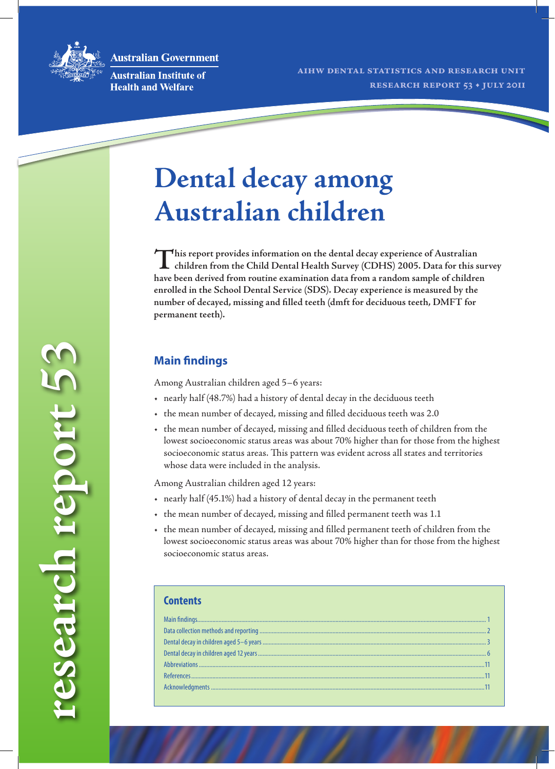**Australian Government** 



**research report 53**

research report 53

**Australian Institute of Health and Welfare** 

# **Dental decay among Australian children**

This report provides information on the dental decay experience of Australian<br>
children from the Child Dental Health Survey (CDHS) 2005. Data for this survey **have been derived from routine examination data from a random sample of children enrolled in the School Dental Service (SDS). Decay experience is measured by the number of decayed, missing and filled teeth (dmft for deciduous teeth, DMFT for permanent teeth).**

# **Main findings**

Among Australian children aged 5–6 years:

- • nearly half (48.7%) had a history of dental decay in the deciduous teeth
- • the mean number of decayed, missing and filled deciduous teeth was 2.0
- • the mean number of decayed, missing and filled deciduous teeth of children from the lowest socioeconomic status areas was about 70% higher than for those from the highest socioeconomic status areas. This pattern was evident across all states and territories whose data were included in the analysis.

Among Australian children aged 12 years:

- • nearly half (45.1%) had a history of dental decay in the permanent teeth
- • the mean number of decayed, missing and filled permanent teeth was 1.1
- • the mean number of decayed, missing and filled permanent teeth of children from the lowest socioeconomic status areas was about 70% higher than for those from the highest socioeconomic status areas.

| <b>Contents</b> |  |
|-----------------|--|
|                 |  |
|                 |  |
|                 |  |
|                 |  |
|                 |  |
|                 |  |
|                 |  |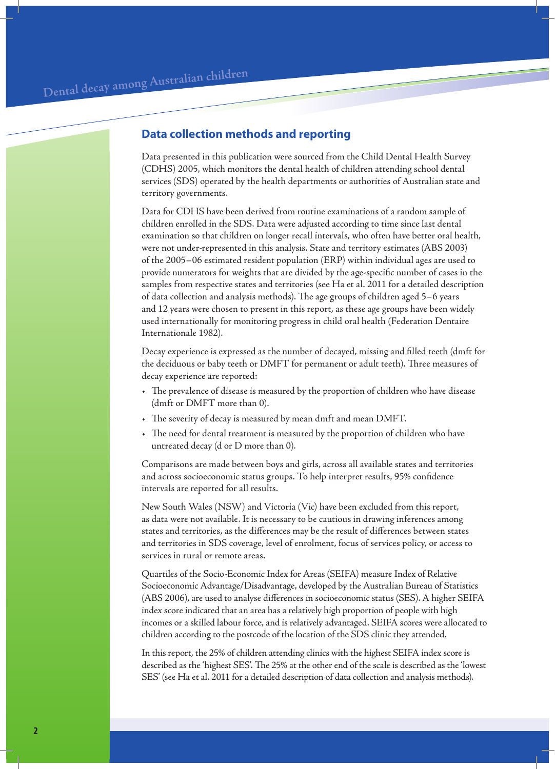# **Data collection methods and reporting**

Data presented in this publication were sourced from the Child Dental Health Survey (CDHS) 2005, which monitors the dental health of children attending school dental services (SDS) operated by the health departments or authorities of Australian state and territory governments.

Data for CDHS have been derived from routine examinations of a random sample of children enrolled in the SDS. Data were adjusted according to time since last dental examination so that children on longer recall intervals, who often have better oral health, were not under-represented in this analysis. State and territory estimates (ABS 2003) of the 2005–06 estimated resident population (ERP) within individual ages are used to provide numerators for weights that are divided by the age-specific number of cases in the samples from respective states and territories (see Ha et al. 2011 for a detailed description of data collection and analysis methods). The age groups of children aged 5–6 years and 12 years were chosen to present in this report, as these age groups have been widely used internationally for monitoring progress in child oral health (Federation Dentaire Internationale 1982).

Decay experience is expressed as the number of decayed, missing and filled teeth (dmft for the deciduous or baby teeth or DMFT for permanent or adult teeth). Three measures of decay experience are reported:

- • The prevalence of disease is measured by the proportion of children who have disease (dmft or DMFT more than 0).
- • The severity of decay is measured by mean dmft and mean DMFT.
- • The need for dental treatment is measured by the proportion of children who have untreated decay (d or D more than 0).

Comparisons are made between boys and girls, across all available states and territories and across socioeconomic status groups. To help interpret results, 95% confidence intervals are reported for all results.

New South Wales (NSW) and Victoria (Vic) have been excluded from this report, as data were not available. It is necessary to be cautious in drawing inferences among states and territories, as the differences may be the result of differences between states and territories in SDS coverage, level of enrolment, focus of services policy, or access to services in rural or remote areas.

Quartiles of the Socio-Economic Index for Areas (SEIFA) measure Index of Relative Socioeconomic Advantage/Disadvantage, developed by the Australian Bureau of Statistics (ABS 2006), are used to analyse differences in socioeconomic status (SES). A higher SEIFA index score indicated that an area has a relatively high proportion of people with high incomes or a skilled labour force, and is relatively advantaged. SEIFA scores were allocated to children according to the postcode of the location of the SDS clinic they attended.

In this report, the 25% of children attending clinics with the highest SEIFA index score is described as the 'highest SES'. The 25% at the other end of the scale is described as the 'lowest SES' (see Ha et al. 2011 for a detailed description of data collection and analysis methods).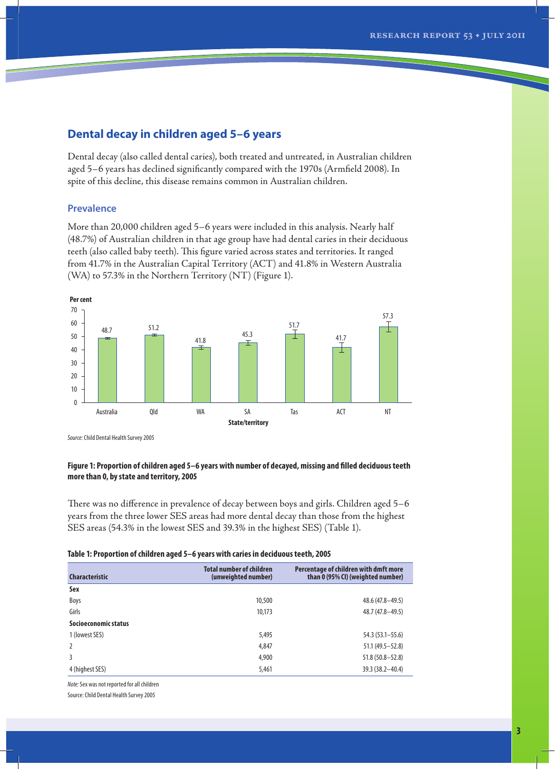# **Dental decay in children aged 5–6 years**

Dental decay (also called dental caries), both treated and untreated, in Australian children aged 5–6 years has declined significantly compared with the 1970s (Armfield 2008). In spite of this decline, this disease remains common in Australian children.

## **Prevalence**

More than 20,000 children aged 5–6 years were included in this analysis. Nearly half (48.7%) of Australian children in that age group have had dental caries in their deciduous teeth (also called baby teeth). This figure varied across states and territories. It ranged from 41.7% in the Australian Capital Territory (ACT) and 41.8% in Western Australia (WA) to 57.3% in the Northern Territory (NT) (Figure 1).



*Source:* Child Dental Health Survey 2005

#### **Figure 1: Proportion of children aged 5–6 years with number of decayed, missing and filled deciduous teeth more than 0, by state and territory, 2005**

There was no difference in prevalence of decay between boys and girls. Children aged 5–6 years from the three lower SES areas had more dental decay than those from the highest SES areas (54.3% in the lowest SES and 39.3% in the highest SES) (Table 1).

| <b>Characteristic</b> | <b>Total number of children</b><br>(unweighted number) | Percentage of children with dmft more<br>than 0 (95% CI) (weighted number) |
|-----------------------|--------------------------------------------------------|----------------------------------------------------------------------------|
| Sex                   |                                                        |                                                                            |
| Boys                  | 10,500                                                 | $48.6(47.8 - 49.5)$                                                        |
| Girls                 | 10,173                                                 | 48.7 (47.8 - 49.5)                                                         |
| Socioeconomic status  |                                                        |                                                                            |
| 1 (lowest SES)        | 5,495                                                  | $54.3(53.1 - 55.6)$                                                        |
| $\overline{2}$        | 4,847                                                  | $51.1(49.5 - 52.8)$                                                        |
| 3                     | 4,900                                                  | $51.8(50.8 - 52.8)$                                                        |
| 4 (highest SES)       | 5,461                                                  | $39.3(38.2 - 40.4)$                                                        |

*Note:* Sex was not reported for all children

Source: Child Dental Health Survey 2005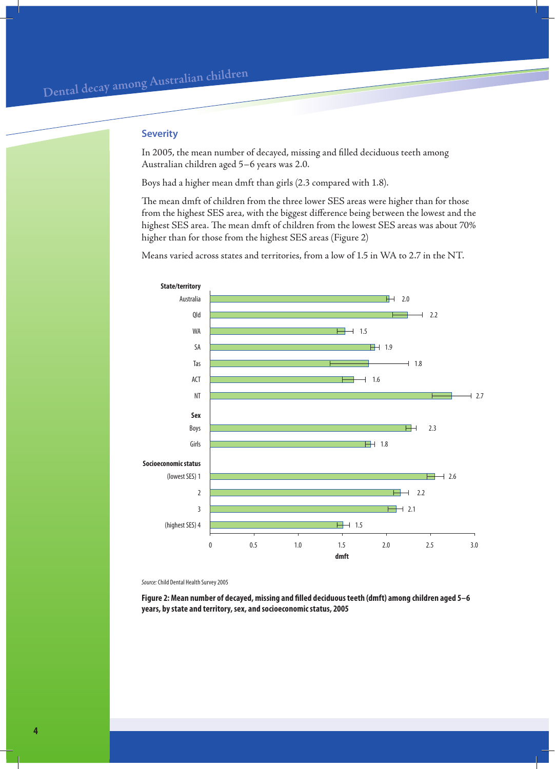### **Severity**

In 2005, the mean number of decayed, missing and filled deciduous teeth among Australian children aged 5–6 years was 2.0.

Boys had a higher mean dmft than girls (2.3 compared with 1.8).

The mean dmft of children from the three lower SES areas were higher than for those from the highest SES area, with the biggest difference being between the lowest and the highest SES area. The mean dmft of children from the lowest SES areas was about 70% higher than for those from the highest SES areas (Figure 2)

Means varied across states and territories, from a low of 1.5 in WA to 2.7 in the NT.



*Source:* Child Dental Health Survey 2005

**Figure 2: Mean number of decayed, missing and filled deciduous teeth (dmft) among children aged 5–6 years, by state and territory, sex, and socioeconomic status, 2005**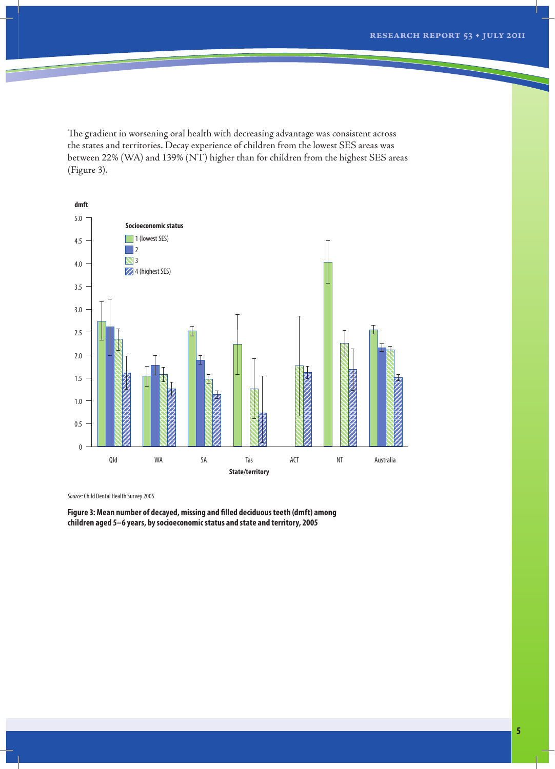The gradient in worsening oral health with decreasing advantage was consistent across the states and territories. Decay experience of children from the lowest SES areas was between 22% (WA) and 139% (NT) higher than for children from the highest SES areas (Figure 3).



*Source:* Child Dental Health Survey 2005

**Figure 3: Mean number of decayed, missing and filled deciduous teeth (dmft) among children aged 5–6 years, by socioeconomic status and state and territory, 2005**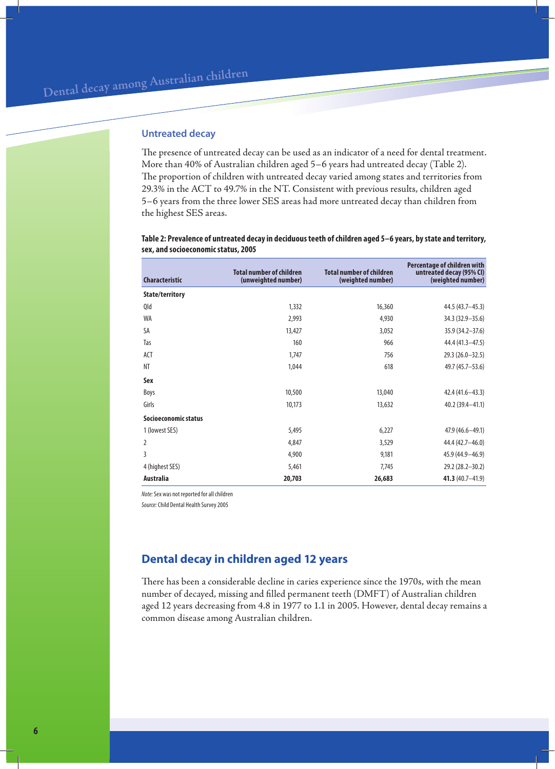# **Untreated decay**

The presence of untreated decay can be used as an indicator of a need for dental treatment. More than 40% of Australian children aged 5–6 years had untreated decay (Table 2). The proportion of children with untreated decay varied among states and territories from 29.3% in the ACT to 49.7% in the NT. Consistent with previous results, children aged 5–6 years from the three lower SES areas had more untreated decay than children from the highest SES areas.

#### **Table 2: Prevalence of untreated decay in deciduous teeth of children aged 5–6 years, by state and territory, sex, and socioeconomic status, 2005**

| <b>Characteristic</b> | <b>Total number of children</b><br>(unweighted number) | <b>Total number of children</b><br>(weighted number) | Percentage of children with<br>untreated decay (95% CI)<br>(weighted number) |
|-----------------------|--------------------------------------------------------|------------------------------------------------------|------------------------------------------------------------------------------|
| State/territory       |                                                        |                                                      |                                                                              |
| Qld                   | 1,332                                                  | 16,360                                               | 44.5 (43.7-45.3)                                                             |
| <b>WA</b>             | 2,993                                                  | 4,930                                                | 34.3 (32.9 - 35.6)                                                           |
| SA                    | 13,427                                                 | 3,052                                                | 35.9 (34.2-37.6)                                                             |
| Tas                   | 160                                                    | 966                                                  | 44.4 (41.3 - 47.5)                                                           |
| ACT                   | 1,747                                                  | 756                                                  | $29.3(26.0-32.5)$                                                            |
| <b>NT</b>             | 1,044                                                  | 618                                                  | 49.7 (45.7-53.6)                                                             |
| Sex                   |                                                        |                                                      |                                                                              |
| Boys                  | 10,500                                                 | 13,040                                               | $42.4(41.6 - 43.3)$                                                          |
| Girls                 | 10,173                                                 | 13,632                                               | $40.2(39.4 - 41.1)$                                                          |
| Socioeconomic status  |                                                        |                                                      |                                                                              |
| 1 (lowest SES)        | 5,495                                                  | 6,227                                                | $47.9(46.6 - 49.1)$                                                          |
| $\overline{2}$        | 4,847                                                  | 3,529                                                | 44.4 (42.7-46.0)                                                             |
| 3                     | 4,900                                                  | 9,181                                                | 45.9 (44.9 - 46.9)                                                           |
| 4 (highest SES)       | 5,461                                                  | 7,745                                                | 29.2 (28.2-30.2)                                                             |
| <b>Australia</b>      | 20,703                                                 | 26,683                                               | 41.3 $(40.7-41.9)$                                                           |

*Note:* Sex was not reported for all children

*Source:* Child Dental Health Survey 2005

# **Dental decay in children aged 12 years**

There has been a considerable decline in caries experience since the 1970s, with the mean number of decayed, missing and filled permanent teeth (DMFT) of Australian children aged 12 years decreasing from 4.8 in 1977 to 1.1 in 2005. However, dental decay remains a common disease among Australian children.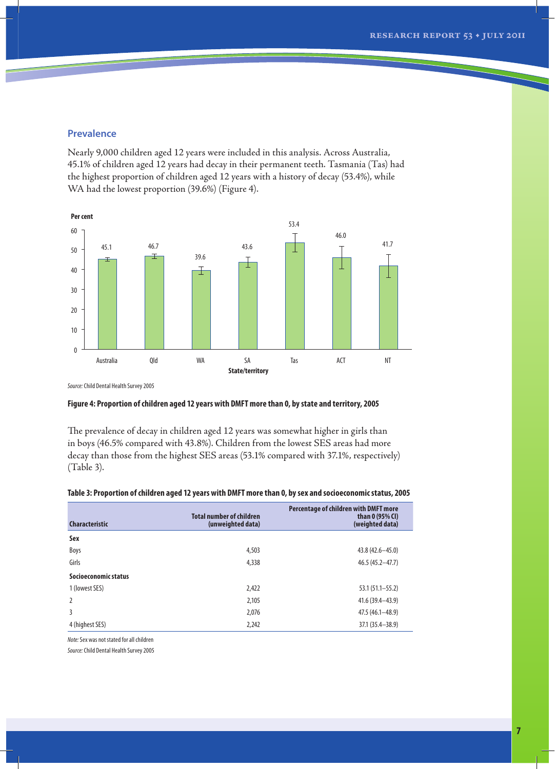## **Prevalence**

Nearly 9,000 children aged 12 years were included in this analysis. Across Australia, 45.1% of children aged 12 years had decay in their permanent teeth. Tasmania (Tas) had the highest proportion of children aged 12 years with a history of decay (53.4%), while WA had the lowest proportion (39.6%) (Figure 4).



*Source:* Child Dental Health Survey 2005

#### **Figure 4: Proportion of children aged 12 years with DMFT more than 0, by state and territory, 2005**

The prevalence of decay in children aged 12 years was somewhat higher in girls than in boys (46.5% compared with 43.8%). Children from the lowest SES areas had more decay than those from the highest SES areas (53.1% compared with 37.1%, respectively) (Table 3).

| <b>Characteristic</b> | <b>Total number of children</b><br>(unweighted data) | Percentage of children with DMFT more<br>than 0 (95% CI)<br>(weighted data) |
|-----------------------|------------------------------------------------------|-----------------------------------------------------------------------------|
| Sex                   |                                                      |                                                                             |
| Boys                  | 4,503                                                | $43.8(42.6 - 45.0)$                                                         |
| Girls                 | 4,338                                                | $46.5(45.2 - 47.7)$                                                         |
| Socioeconomic status  |                                                      |                                                                             |
| 1 (lowest SES)        | 2,422                                                | $53.1(51.1 - 55.2)$                                                         |
| $\overline{2}$        | 2,105                                                | $41.6(39.4 - 43.9)$                                                         |
| 3                     | 2,076                                                | $47.5(46.1 - 48.9)$                                                         |
| 4 (highest SES)       | 2,242                                                | $37.1(35.4 - 38.9)$                                                         |

#### **Table 3: Proportion of children aged 12 years with DMFT more than 0, by sex and socioeconomic status, 2005**

*Note:* Sex was not stated for all children

*Source:* Child Dental Health Survey 2005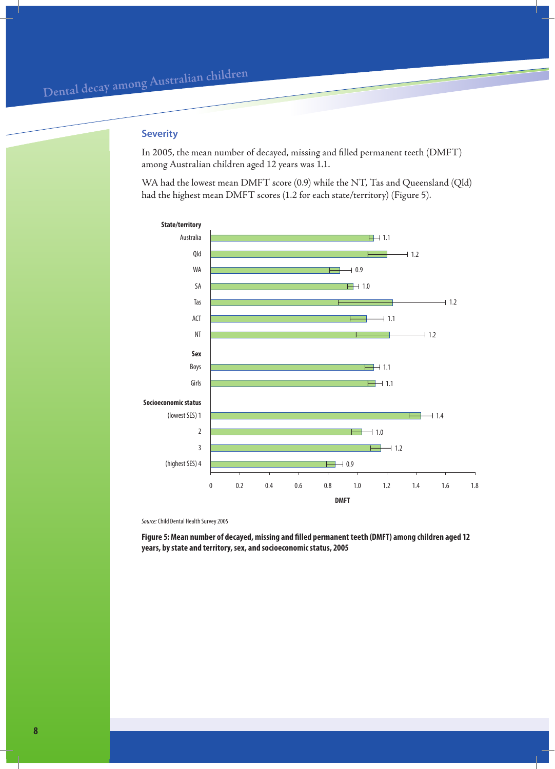## **Severity**

In 2005, the mean number of decayed, missing and filled permanent teeth (DMFT) among Australian children aged 12 years was 1.1.

WA had the lowest mean DMFT score (0.9) while the NT, Tas and Queensland (Qld) had the highest mean DMFT scores (1.2 for each state/territory) (Figure 5).



*Source:* Child Dental Health Survey 2005

**Figure 5: Mean number of decayed, missing and filled permanent teeth (DMFT) among children aged 12 years, by state and territory, sex, and socioeconomic status, 2005**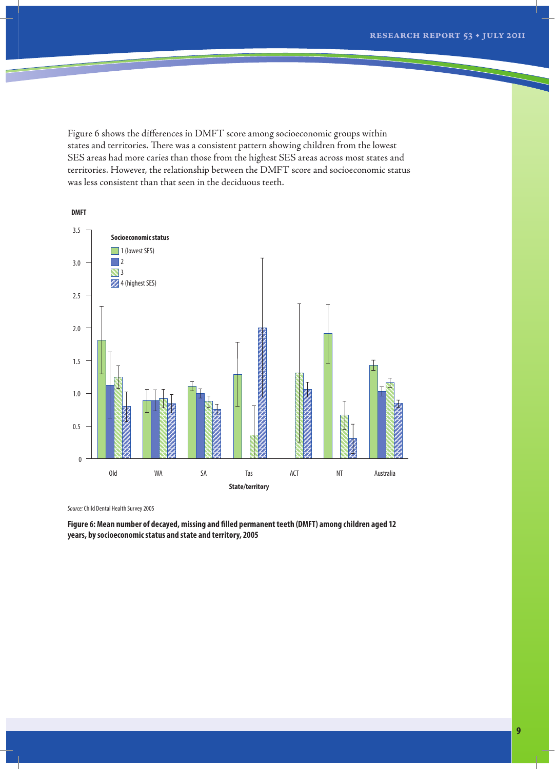Figure 6 shows the differences in DMFT score among socioeconomic groups within states and territories. There was a consistent pattern showing children from the lowest SES areas had more caries than those from the highest SES areas across most states and territories. However, the relationship between the DMFT score and socioeconomic status was less consistent than that seen in the deciduous teeth.



*Source:* Child Dental Health Survey 2005

**Figure 6: Mean number of decayed, missing and filled permanent teeth (DMFT) among children aged 12 years, by socioeconomic status and state and territory, 2005**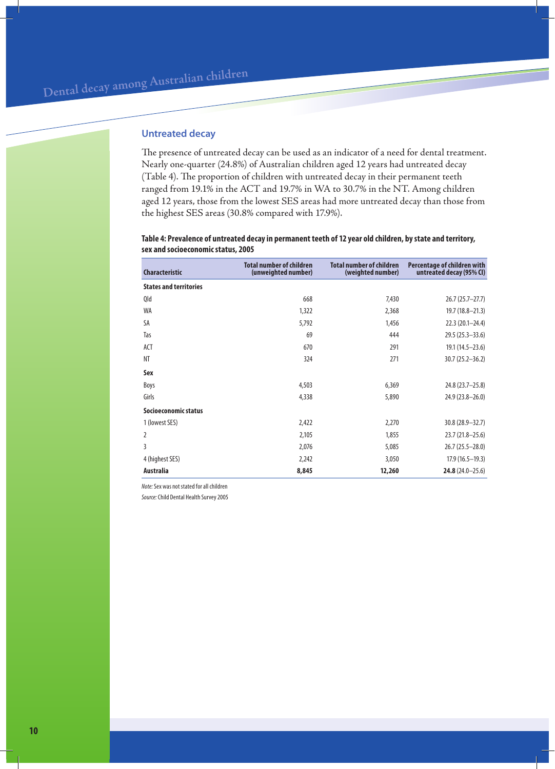# **Untreated decay**

The presence of untreated decay can be used as an indicator of a need for dental treatment. Nearly one-quarter (24.8%) of Australian children aged 12 years had untreated decay (Table 4). The proportion of children with untreated decay in their permanent teeth ranged from 19.1% in the ACT and 19.7% in WA to 30.7% in the NT. Among children aged 12 years, those from the lowest SES areas had more untreated decay than those from the highest SES areas (30.8% compared with 17.9%).

#### **Table 4: Prevalence of untreated decay in permanent teeth of 12 year old children, by state and territory, sex and socioeconomic status, 2005**

| <b>Characteristic</b>         | <b>Total number of children</b><br>(unweighted number) | <b>Total number of children</b><br>(weighted number) | Percentage of children with<br>untreated decay (95% CI) |
|-------------------------------|--------------------------------------------------------|------------------------------------------------------|---------------------------------------------------------|
| <b>States and territories</b> |                                                        |                                                      |                                                         |
| Qld                           | 668                                                    | 7,430                                                | $26.7(25.7-27.7)$                                       |
| <b>WA</b>                     | 1,322                                                  | 2,368                                                | $19.7(18.8 - 21.3)$                                     |
| <b>SA</b>                     | 5,792                                                  | 1,456                                                | $22.3(20.1 - 24.4)$                                     |
| Tas                           | 69                                                     | 444                                                  | $29.5(25.3 - 33.6)$                                     |
| ACT                           | 670                                                    | 291                                                  | $19.1(14.5-23.6)$                                       |
| <b>NT</b>                     | 324                                                    | 271                                                  | $30.7(25.2 - 36.2)$                                     |
| Sex                           |                                                        |                                                      |                                                         |
| Boys                          | 4,503                                                  | 6,369                                                | 24.8 (23.7-25.8)                                        |
| Girls                         | 4,338                                                  | 5,890                                                | $24.9(23.8 - 26.0)$                                     |
| Socioeconomic status          |                                                        |                                                      |                                                         |
| 1 (lowest SES)                | 2,422                                                  | 2,270                                                | $30.8(28.9 - 32.7)$                                     |
| $\overline{2}$                | 2,105                                                  | 1,855                                                | $23.7(21.8 - 25.6)$                                     |
| 3                             | 2,076                                                  | 5,085                                                | $26.7(25.5-28.0)$                                       |
| 4 (highest SES)               | 2,242                                                  | 3,050                                                | $17.9(16.5-19.3)$                                       |
| <b>Australia</b>              | 8,845                                                  | 12,260                                               | $24.8(24.0 - 25.6)$                                     |

*Note:* Sex was not stated for all children

*Source:* Child Dental Health Survey 2005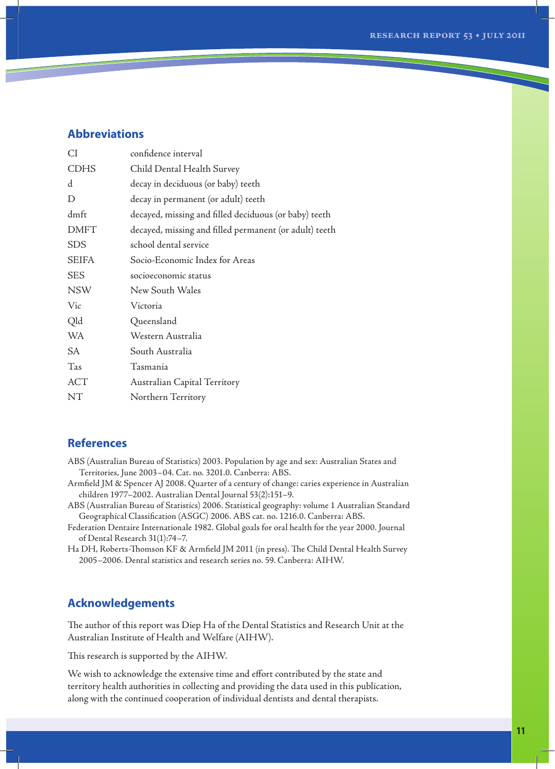# **Abbreviations**

| СI          | confidence interval                                    |
|-------------|--------------------------------------------------------|
| <b>CDHS</b> | Child Dental Health Survey                             |
| d           | decay in deciduous (or baby) teeth                     |
| D           | decay in permanent (or adult) teeth                    |
| dmft        | decayed, missing and filled deciduous (or baby) teeth  |
| <b>DMFT</b> | decayed, missing and filled permanent (or adult) teeth |
| <b>SDS</b>  | school dental service                                  |
| SEIFA       | Socio-Economic Index for Areas                         |
| <b>SES</b>  | socioeconomic status                                   |
| <b>NSW</b>  | New South Wales                                        |
| Vic         | Victoria                                               |
| Qld         | Queensland                                             |
| WA          | Western Australia                                      |
| SА          | South Australia                                        |
| Tas         | Tasmania                                               |
| ACT         | Australian Capital Territory                           |
| NT          | Northern Territory                                     |

# **References**

- ABS (Australian Bureau of Statistics) 2003. Population by age and sex: Australian States and Territories, June 2003–04. Cat. no. 3201.0. Canberra: ABS.
- Armfield JM & Spencer AJ 2008. Quarter of a century of change: caries experience in Australian children 1977–2002. Australian Dental Journal 53(2):151–9.
- ABS (Australian Bureau of Statistics) 2006. Statistical geography: volume 1 Australian Standard Geographical Classification (ASGC) 2006. ABS cat. no. 1216.0. Canberra: ABS.
- Federation Dentaire Internationale 1982. Global goals for oral health for the year 2000. Journal of Dental Research 31(1):74–7.
- Ha DH, Roberts-Thomson KF & Armfield JM 2011 (in press). The Child Dental Health Survey 2005–2006. Dental statistics and research series no. 59. Canberra: AIHW.

# **Acknowledgements**

The author of this report was Diep Ha of the Dental Statistics and Research Unit at the Australian Institute of Health and Welfare (AIHW).

This research is supported by the AIHW.

We wish to acknowledge the extensive time and effort contributed by the state and territory health authorities in collecting and providing the data used in this publication, along with the continued cooperation of individual dentists and dental therapists.